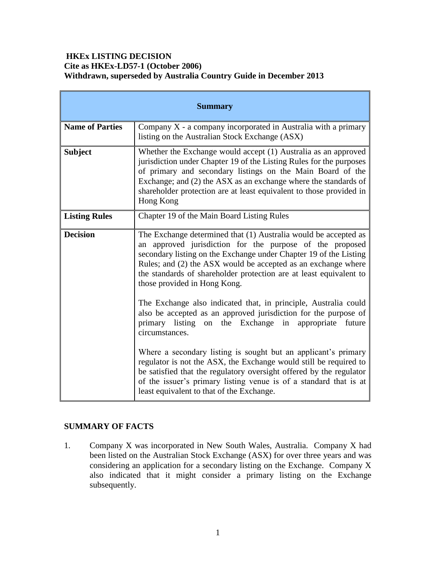## **HKEx LISTING DECISION Cite as HKEx-LD57-1 (October 2006) Withdrawn, superseded by Australia Country Guide in December 2013**

| <b>Summary</b>         |                                                                                                                                                                                                                                                                                                                                                                         |
|------------------------|-------------------------------------------------------------------------------------------------------------------------------------------------------------------------------------------------------------------------------------------------------------------------------------------------------------------------------------------------------------------------|
| <b>Name of Parties</b> | Company $X$ - a company incorporated in Australia with a primary<br>listing on the Australian Stock Exchange (ASX)                                                                                                                                                                                                                                                      |
| <b>Subject</b>         | Whether the Exchange would accept (1) Australia as an approved<br>jurisdiction under Chapter 19 of the Listing Rules for the purposes<br>of primary and secondary listings on the Main Board of the<br>Exchange; and (2) the ASX as an exchange where the standards of<br>shareholder protection are at least equivalent to those provided in<br>Hong Kong              |
| <b>Listing Rules</b>   | Chapter 19 of the Main Board Listing Rules                                                                                                                                                                                                                                                                                                                              |
| <b>Decision</b>        | The Exchange determined that (1) Australia would be accepted as<br>an approved jurisdiction for the purpose of the proposed<br>secondary listing on the Exchange under Chapter 19 of the Listing<br>Rules; and (2) the ASX would be accepted as an exchange where<br>the standards of shareholder protection are at least equivalent to<br>those provided in Hong Kong. |
|                        | The Exchange also indicated that, in principle, Australia could<br>also be accepted as an approved jurisdiction for the purpose of<br>primary listing on the Exchange in appropriate<br>future<br>circumstances.                                                                                                                                                        |
|                        | Where a secondary listing is sought but an applicant's primary<br>regulator is not the ASX, the Exchange would still be required to<br>be satisfied that the regulatory oversight offered by the regulator<br>of the issuer's primary listing venue is of a standard that is at<br>least equivalent to that of the Exchange.                                            |

# **SUMMARY OF FACTS**

1. Company X was incorporated in New South Wales, Australia. Company X had been listed on the Australian Stock Exchange (ASX) for over three years and was considering an application for a secondary listing on the Exchange. Company X also indicated that it might consider a primary listing on the Exchange subsequently.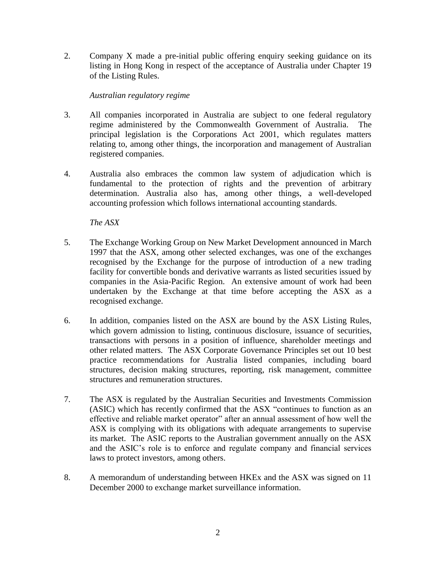2. Company X made a pre-initial public offering enquiry seeking guidance on its listing in Hong Kong in respect of the acceptance of Australia under Chapter 19 of the Listing Rules.

### *Australian regulatory regime*

- 3. All companies incorporated in Australia are subject to one federal regulatory regime administered by the Commonwealth Government of Australia. The principal legislation is the Corporations Act 2001, which regulates matters relating to, among other things, the incorporation and management of Australian registered companies.
- 4. Australia also embraces the common law system of adjudication which is fundamental to the protection of rights and the prevention of arbitrary determination. Australia also has, among other things, a well-developed accounting profession which follows international accounting standards.

*The ASX*

- 5. The Exchange Working Group on New Market Development announced in March 1997 that the ASX, among other selected exchanges, was one of the exchanges recognised by the Exchange for the purpose of introduction of a new trading facility for convertible bonds and derivative warrants as listed securities issued by companies in the Asia-Pacific Region. An extensive amount of work had been undertaken by the Exchange at that time before accepting the ASX as a recognised exchange.
- 6. In addition, companies listed on the ASX are bound by the ASX Listing Rules, which govern admission to listing, continuous disclosure, issuance of securities, transactions with persons in a position of influence, shareholder meetings and other related matters. The ASX Corporate Governance Principles set out 10 best practice recommendations for Australia listed companies, including board structures, decision making structures, reporting, risk management, committee structures and remuneration structures.
- 7. The ASX is regulated by the Australian Securities and Investments Commission (ASIC) which has recently confirmed that the ASX "continues to function as an effective and reliable market operator" after an annual assessment of how well the ASX is complying with its obligations with adequate arrangements to supervise its market. The ASIC reports to the Australian government annually on the ASX and the ASIC's role is to enforce and regulate company and financial services laws to protect investors, among others.
- 8. A memorandum of understanding between HKEx and the ASX was signed on 11 December 2000 to exchange market surveillance information.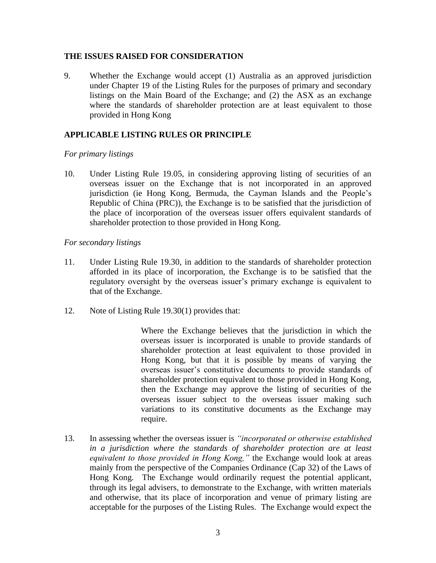#### **THE ISSUES RAISED FOR CONSIDERATION**

9. Whether the Exchange would accept (1) Australia as an approved jurisdiction under Chapter 19 of the Listing Rules for the purposes of primary and secondary listings on the Main Board of the Exchange; and (2) the ASX as an exchange where the standards of shareholder protection are at least equivalent to those provided in Hong Kong

### **APPLICABLE LISTING RULES OR PRINCIPLE**

#### *For primary listings*

10. Under Listing Rule 19.05, in considering approving listing of securities of an overseas issuer on the Exchange that is not incorporated in an approved jurisdiction (ie Hong Kong, Bermuda, the Cayman Islands and the People's Republic of China (PRC)), the Exchange is to be satisfied that the jurisdiction of the place of incorporation of the overseas issuer offers equivalent standards of shareholder protection to those provided in Hong Kong.

#### *For secondary listings*

- 11. Under Listing Rule 19.30, in addition to the standards of shareholder protection afforded in its place of incorporation, the Exchange is to be satisfied that the regulatory oversight by the overseas issuer's primary exchange is equivalent to that of the Exchange.
- 12. Note of Listing Rule 19.30(1) provides that:

Where the Exchange believes that the jurisdiction in which the overseas issuer is incorporated is unable to provide standards of shareholder protection at least equivalent to those provided in Hong Kong, but that it is possible by means of varying the overseas issuer's constitutive documents to provide standards of shareholder protection equivalent to those provided in Hong Kong, then the Exchange may approve the listing of securities of the overseas issuer subject to the overseas issuer making such variations to its constitutive documents as the Exchange may require.

13. In assessing whether the overseas issuer is *"incorporated or otherwise established in a jurisdiction where the standards of shareholder protection are at least equivalent to those provided in Hong Kong,"* the Exchange would look at areas mainly from the perspective of the Companies Ordinance (Cap 32) of the Laws of Hong Kong. The Exchange would ordinarily request the potential applicant, through its legal advisers, to demonstrate to the Exchange, with written materials and otherwise, that its place of incorporation and venue of primary listing are acceptable for the purposes of the Listing Rules. The Exchange would expect the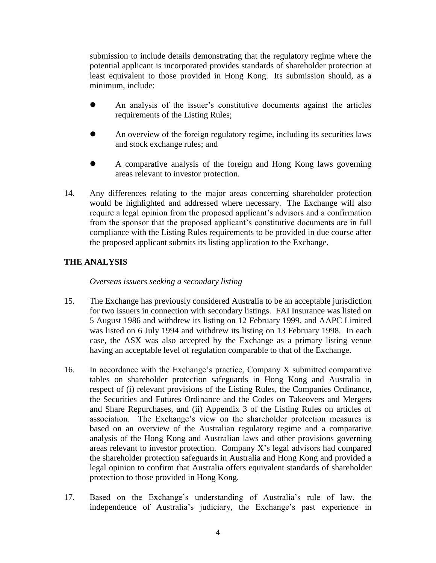submission to include details demonstrating that the regulatory regime where the potential applicant is incorporated provides standards of shareholder protection at least equivalent to those provided in Hong Kong. Its submission should, as a minimum, include:

- An analysis of the issuer's constitutive documents against the articles requirements of the Listing Rules;
- An overview of the foreign regulatory regime, including its securities laws and stock exchange rules; and
- A comparative analysis of the foreign and Hong Kong laws governing areas relevant to investor protection.
- 14. Any differences relating to the major areas concerning shareholder protection would be highlighted and addressed where necessary. The Exchange will also require a legal opinion from the proposed applicant's advisors and a confirmation from the sponsor that the proposed applicant's constitutive documents are in full compliance with the Listing Rules requirements to be provided in due course after the proposed applicant submits its listing application to the Exchange.

## **THE ANALYSIS**

*Overseas issuers seeking a secondary listing*

- 15. The Exchange has previously considered Australia to be an acceptable jurisdiction for two issuers in connection with secondary listings. FAI Insurance was listed on 5 August 1986 and withdrew its listing on 12 February 1999, and AAPC Limited was listed on 6 July 1994 and withdrew its listing on 13 February 1998. In each case, the ASX was also accepted by the Exchange as a primary listing venue having an acceptable level of regulation comparable to that of the Exchange.
- 16. In accordance with the Exchange's practice, Company X submitted comparative tables on shareholder protection safeguards in Hong Kong and Australia in respect of (i) relevant provisions of the Listing Rules, the Companies Ordinance, the Securities and Futures Ordinance and the Codes on Takeovers and Mergers and Share Repurchases, and (ii) Appendix 3 of the Listing Rules on articles of association. The Exchange's view on the shareholder protection measures is based on an overview of the Australian regulatory regime and a comparative analysis of the Hong Kong and Australian laws and other provisions governing areas relevant to investor protection. Company X's legal advisors had compared the shareholder protection safeguards in Australia and Hong Kong and provided a legal opinion to confirm that Australia offers equivalent standards of shareholder protection to those provided in Hong Kong.
- 17. Based on the Exchange's understanding of Australia's rule of law, the independence of Australia's judiciary, the Exchange's past experience in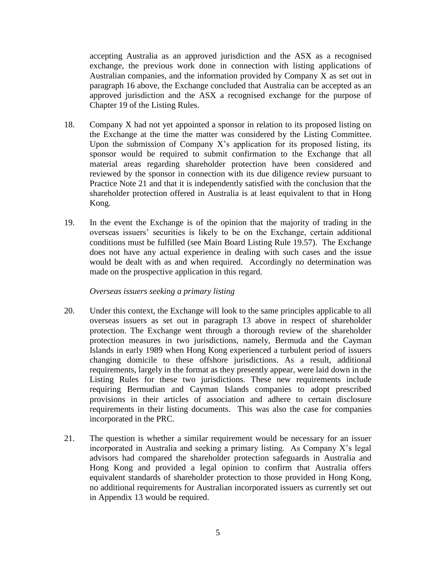accepting Australia as an approved jurisdiction and the ASX as a recognised exchange, the previous work done in connection with listing applications of Australian companies, and the information provided by Company X as set out in paragraph 16 above, the Exchange concluded that Australia can be accepted as an approved jurisdiction and the ASX a recognised exchange for the purpose of Chapter 19 of the Listing Rules.

- 18. Company X had not yet appointed a sponsor in relation to its proposed listing on the Exchange at the time the matter was considered by the Listing Committee. Upon the submission of Company  $X$ 's application for its proposed listing, its sponsor would be required to submit confirmation to the Exchange that all material areas regarding shareholder protection have been considered and reviewed by the sponsor in connection with its due diligence review pursuant to Practice Note 21 and that it is independently satisfied with the conclusion that the shareholder protection offered in Australia is at least equivalent to that in Hong Kong.
- 19. In the event the Exchange is of the opinion that the majority of trading in the overseas issuers' securities is likely to be on the Exchange, certain additional conditions must be fulfilled (see Main Board Listing Rule 19.57). The Exchange does not have any actual experience in dealing with such cases and the issue would be dealt with as and when required. Accordingly no determination was made on the prospective application in this regard.

#### *Overseas issuers seeking a primary listing*

- 20. Under this context, the Exchange will look to the same principles applicable to all overseas issuers as set out in paragraph 13 above in respect of shareholder protection. The Exchange went through a thorough review of the shareholder protection measures in two jurisdictions, namely, Bermuda and the Cayman Islands in early 1989 when Hong Kong experienced a turbulent period of issuers changing domicile to these offshore jurisdictions. As a result, additional requirements, largely in the format as they presently appear, were laid down in the Listing Rules for these two jurisdictions. These new requirements include requiring Bermudian and Cayman Islands companies to adopt prescribed provisions in their articles of association and adhere to certain disclosure requirements in their listing documents. This was also the case for companies incorporated in the PRC.
- 21. The question is whether a similar requirement would be necessary for an issuer incorporated in Australia and seeking a primary listing. As Company X's legal advisors had compared the shareholder protection safeguards in Australia and Hong Kong and provided a legal opinion to confirm that Australia offers equivalent standards of shareholder protection to those provided in Hong Kong, no additional requirements for Australian incorporated issuers as currently set out in Appendix 13 would be required.